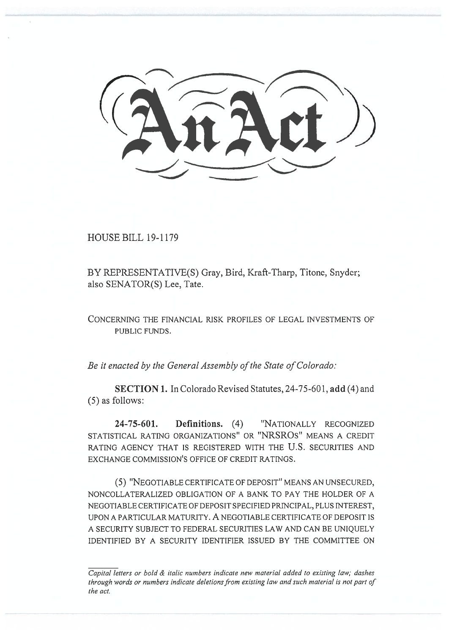$(2\pi2)$ 

HOUSE BILL 19-1179

BY REPRESENTATIVE(S) Gray, Bird, Kraft-Tharp, Titone, Snyder;<br>also SENATOR(S) Lee, Tate.<br>CONCERNING THE FINANCIAL RISK PROFILES OF LEGAL INVESTMENTS also SENATOR(S) Lee, Tate.

CONCERNING THE FINANCIAL RISK PROFILES OF LEGAL INVESTMENTS OF PUBLIC FUNDS.

*Be it enacted by the General Assembly of the State of Colorado:*  Be it enacted by the General Assembly of the State of Colorado:

**SECTION 1.** In Colorado Revised Statutes, 24-75-601, **add** (4) and (5) as follows: (5) as follows:

**24-75-601. Definitions.** (4) "NATIONALLY RECOGNIZED STATISTICAL RATING ORGANIZATIONS" OR "NRSROs" MEANS A CREDIT STATISTICAL RATING ORGANIZATIONS" RATING AGENCY THAT IS REGISTERED WITH THE U.S. SECURITIES AND EXCHANGE COMMISSION'S OFFICE OF CREDIT RATINGS. *Definitions.* (4)

(5) "NEGOTIABLE CERTIFICATE OF DEPOSIT" MEANS AN UNSECURED, NONCOLLATERALIZED OBLIGATION OF A BANK TO PAY THE HOLDER OF A NEGOTIABLE CERTIFICATE OF DEPOSIT SPECIFIED PRINCIPAL, PLUS INTEREST, RATING AGENCY THAT IS REGISTERED WITH THE U.S. SECURITIES AND<br>EXCHANGE COMMISSION'S OFFICE OF CREDIT RATINGS.<br>(5) "NEGOTIABLE CERTIFICATE OF DEPOSIT" MEANS AN UNSECURED,<br>NONCOLLATERALIZED OBLIGATION OF A BANK TO PAY THE HO A SECURITY SUBJECT TO FEDERAL SECURITIES LAW AND CAN BE UNIQUELY SECURITIES LAW AND CAN BE UNIQUELY IDENTIFIED BY A SECURITY IDENTIFIER ISSUED BY THE COMMITTEE ON

*Capital letters or bold & italic numbers indicate new material added to existing law; dashes*  Capital letters or bold & italic numbers indicate new material added to existing law; dashes *through words or numbers indicate deletions from existing law and such material is not part of*  through words or numbers indicate deletions from existing law and such material is not part of *the act.*  the act.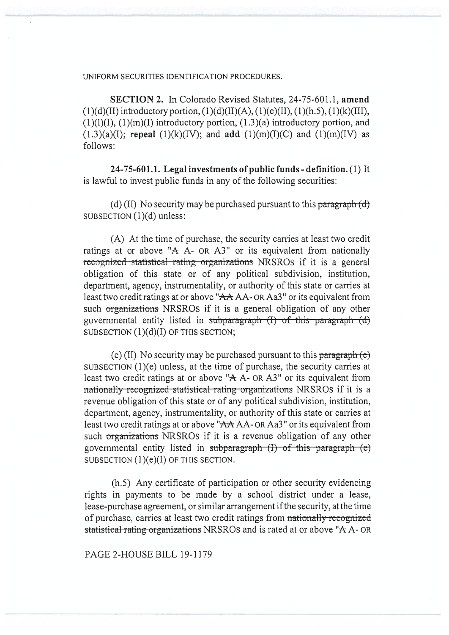## UNIFORM SECURITIES IDENTIFICATION PROCEDURES. IDENTIFICATION PROCEDURES.

**SECTION 2.** In Colorado Revised Statutes, 24-75-601.1, **amend (1)(d)(II)** introductory portion, (1)(d)(II)(A), (1)(e)(II), (1)(h.5), (1)(k)(III), **SECTION 2.** In Colorado Revised Statutes, 24-75-601.1, amend (1)(d)(II) introductory portion, (1)(d)(II)(A), (1)(e)(II), (1)(h.5), (1)(k)(III), (1)(l)(I), (1)(m)(I) introductory portion, (1.3)(a) introductory portion, an  $(1.3)(a)(I)$ ; **repeal**  $(1)(k)(IV)$ ; and **add**  $(1)(m)(I)(C)$  and  $(1)(m)(IV)$  as follows:

**24-75-601.1. Legal investments of public funds - definition.** (1) It **public funds definition.** (1) It is lawful to invest public funds in any of the following securities:

(d) (II) No security may be purchased pursuant to this paragraph  $(d)$ SUBSECTION (1)(d) unless:

(A) At the time of purchase, the security carries at least two credit ratings at or above "A A- OR A3" or its equivalent from nationally **recognized** statistical rating organizations NRSROs if it is a general obligation of this state or of any political subdivision, institution, department, agency, instrumentality, or authority of this state or carries at least two credit ratings at or above "AA AA-OR Aa3" or its equivalent from<br>such <del>organizations</del> NRSROs if it is a general obligation of any other<br>governmental entity listed in subparagraph (I) of this paragraph (d) such organizations NRSROS if it is a general obligation of any other governmental entity listed in subparagraph  $(I)$  of this paragraph  $(d)$ SUBSECTION (1)(d)(I) OF THIS SECTION; (d) (II) No security may be purchased pursuant to this paragraph (d) subsection (1)(d) unless:<br>
(A) At the time of purchase, the security carries at least two credit<br>
ratings at or above "A A- OR A3" or its equivalent fro

(e) (II) No security may be purchased pursuant to this paragraph (e) SUBSECTION (1)(e) unless, at the time of purchase, the security carries at least two credit ratings at or above " $A$  A- OR A3" or its equivalent from nationally recognized statistical rating organizations NRSROS if it is a revenue obligation of this state or of any political subdivision, institution, department, agency, instrumentality, or authority of this state or carries at least two credit ratings at or above "AA AA- OR Aa3" or its equivalent from such organizations NRSROS if it is a revenue obligation of any other governmental entity listed in subparagraph  $(I)$  of this paragraph  $(e)$ SUBSECTION  $(1)(e)(I)$  OF THIS SECTION. (h.5) Any certificate of participation or other security evidencing SUBSECTION (1)(e)(I) (h.5) Any certificate of participation or other security evidencing mationally recognized statistical rating organizations NRSROs if it is a<br>revenue obligation of this state or of any political subdivision, institution,<br>department, agency, instrumentality, or authority of this state or car

rights in payments to be made by a school district under a lease, lease-purchase agreement, or similar arrangement if the security, at the time of purchase, carries at least two credit ratings from nationally recognized lease-purchase agreement, or similar arrangement if the security, at the time of purchase, carries at least two credit ratings from nationally rccognizcd statistical rating organizations NRSROS and is rated at or above "A A- OR<br>PAGE 2-HOUSE BILL 19-1179

PAGE 2-HOUSE BILL 19-1179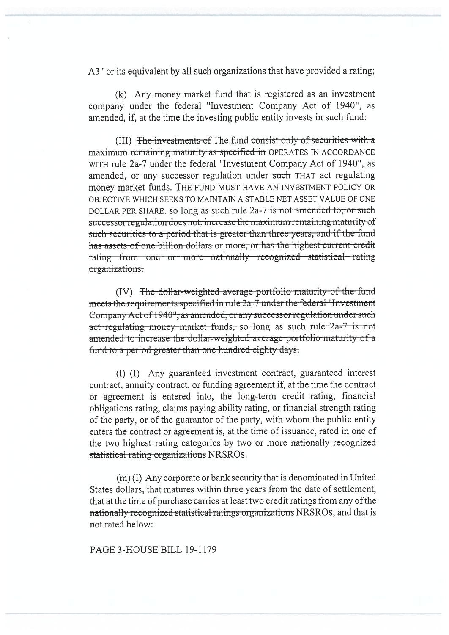A3" or its equivalent by all such organizations that have provided a rating;

(k) Any money market fund that is registered as an investment company under the federal "Investment Company Act of 1940", as amended, if, at the time the investing public entity invests in such fund:

(III) The investments of The fund consist only of securities with a maximum remaining maturity as specified in OPERATES IN ACCORDANCE WITH rule 2a-7 under the federal "Investment Company Act of 1940", as amended, or any successor regulation under such THAT act regulating money market funds. THE FUND MUST HAVE AN INVESTMENT POLICY OR OBJECTIVE WHICH SEEKS TO MAINTAIN A STABLE NET ASSET VALUE OF ONE DOLLAR PER SHARE, so long as such rule 2a-7 is not amended to, or such successor regulation does not, increase the maximum remaining maturity of such securities to a period that is greater than three years, and if the fund has assets of one billion dollars or more, or has the highest current credit rating from one or more nationally recognized statistical rating organizations.

(IV) The dollar-weighted average portfolio maturity of the fund meets the requirements specified in rule 2a-7 under the federal "Investment" Company Act of 1940", as amended, or any successor regulation under such act regulating money market funds, so long as such rule 2a-7 is not amended to increase the dollar-weighted average portfolio maturity of a fund to a period greater than one hundred eighty days.

(I) (I) Any guaranteed investment contract, guaranteed interest contract, annuity contract, or funding agreement if, at the time the contract or agreement is entered into, the long-term credit rating, financial obligations rating, claims paying ability rating, or financial strength rating of the party, or of the guarantor of the party, with whom the public entity enters the contract or agreement is, at the time of issuance, rated in one of the two highest rating categories by two or more nationally recognized statistical rating organizations NRSROS.

(m) (I) Any corporate or bank security that is denominated in United States dollars, that matures within three years from the date of settlement, that at the time of purchase carries at least two credit ratings from any of the nationally recognized statistical ratings organizations NRSROS, and that is not rated below:

PAGE 3-HOUSE BILL 19-1179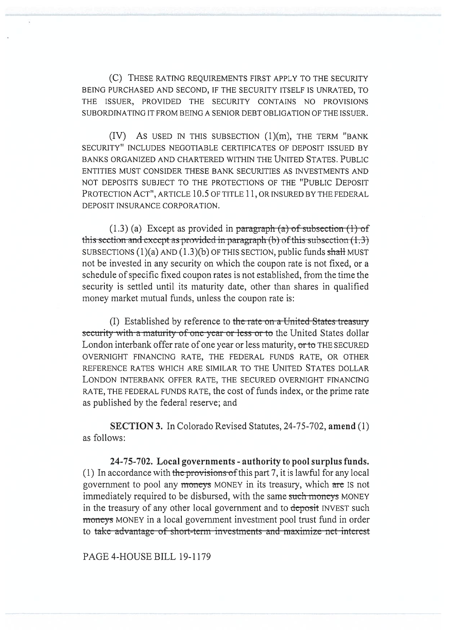(C) THESE RATING REQUIREMENTS FIRST APPLY TO THE SECURITY BEING PURCHASED AND SECOND, IF THE SECURITY ITSELF IS UNRATED, TO THE ISSUER, PROVIDED THE SECURITY CONTAINS NO PROVISIONS SUBORDINATING IT FROM BEING A SENIOR DEBT OBLIGATION OF THE ISSUER. (C) THESE RATING REQUIREMENTS FIRST APPLY TO THE SECURITY<br>BEING PURCHASED AND SECOND, IF THE SECURITY ITSELF IS UNRATED, TO<br>THE ISSUER, PROVIDED THE SECURITY CONTAINS NO PROVISIONS<br>SUBORDINATING IT FROM BEING A SENIOR DEBT

(IV) **AS** USED IN THIS SUBSECTION (1)(m), THE TERM "BANK SECURITY" INCLUDES NEGOTIABLE CERTIFICATES OF DEPOSIT ISSUED BY BANKS ORGANIZED AND CHARTERED WITHIN THE UNITED STATES. PUBLIC ENTITIES MUST CONSIDER THESE BANK SECURITIES AS INVESTMENTS AND SECURITY" INCLUDES NEGOTIABLE CERTIFICATES OF DEPOSIT ISSUED BY<br>BANKS ORGANIZED AND CHARTERED WITHIN THE UNITED STATES. PUBLIC<br>ENTITIES MUST CONSIDER THESE BANK SECURITIES AS INVESTMENTS AND<br>NOT DEPOSITS SUBJECT TO THE PRO PROTECTION ACT", ARTICLE 10.5 OF TITLE 11, OR INSURED BY THE FEDERAL DEPOSIT INSURANCE CORPORATION. CTION ACT", ARTICLE 10.5 OF TITLE 11, OR INSURED BY THE FEDERAL<br>T INSURANCE CORPORATION.<br>(1.3) (a) Except as provided in <del>paragraph (a) of subsection (1) of</del>

**this-section and except as provided in paragraph (b) of this-subsection (1.3)** SUBSECTIONS  $(1)(a)$  AND  $(1.3)(b)$  OF THIS SECTION, public funds shall MUST SUBSECTIONS (1)(a) AND (1.3)(b) OF THIS SECTION, public funds <del>shall</del> MUST<br>not be invested in any security on which the coupon rate is not fixed, or a schedule of specific fixed coupon rates is not established, from the time the security is settled until its maturity date, other than shares in qualified money market mutual funds, unless the coupon rate is: money market mutual funds, unless the coupon rate is:

(I) Established by reference to the rate on a United States treasury security with a maturity of one year or less or to the United States dollar<br>London interbank offer rate of one year or less maturity, <del>or to</del> THE SECURED London interbank offer rate of one year or less maturity, or to THE SECURED OVERNIGHT FINANCING RATE, THE FEDERAL FUNDS RATE, OR OTHER REFERENCE RATES WHICH ARE SIMILAR TO THE UNITED STATES DOLLAR LONDON INTERBANK OFFER RATE, THE SECURED OVERNIGHT FINANCING RATE, THE FEDERAL FUNDS RATE, the cost of funds index, or the prime rate as published by the federal reserve; and OVERNIGHT FINANCING RATE, THE FEDERAL FUNDS RATE, OR OTHER<br>REFERENCE RATES WHICH ARE SIMILAR TO THE UNITED STATES DOLLAR<br>LONDON INTERBANK OFFER RATE, THE SECURED OVERNIGHT FINANCING<br>RATE, THE FEDERAL FUNDS RATE, the cost o

**SECTION 3.** In Colorado Revised Statutes, 24-75-702, amend (1) as follows:

24-75-702. Local governments - authority to pool surplus funds. (1) In accordance with the provisions of this part 7, it is lawful for any local (1) In accordance with <del>the provisions of</del> this part 7, it is lawful for any local<br>government to pool any <del>moneys</del> MONEY in its treasury, which <del>are</del> IS not immediately required to be disbursed, with the same such moneys MONEY in the treasury of any other local government and to deposit INVEST such **moneys** MONEY in a local government investment pool trust fund in order to take advantage of short-term investments and maximize net interest immediately required to be disbursed, with the same <del>such moncys</del> MONEY<br>in the treasury of any other local government and to <del>deposit</del> INVEST such<br>moneys MONEY in a local government investment pool trust fund in order

PAGE 4-HOUSE BILL 19-1179 PAGE 4-HOUSE BILL 19-1179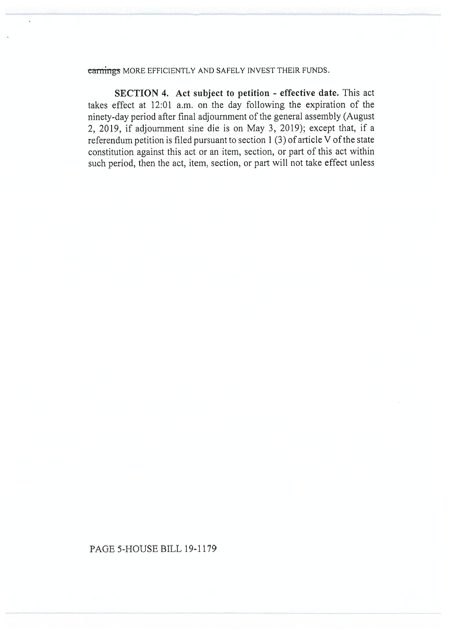## <del>earnings</del> MORE EFFICIENTLY AND SAFELY INVEST THEIR FUNDS.

**SECTION 4. Act subject to petition - effective date.** This act takes effect at 12:01 a.m. on the day following the expiration of the takes effect at 12:01 a.m. on the day following the expiration of the ninety-day period after final adjournment of the general assembly (August 2, 2019, if adjournment sine die is on May 3, 2019); except that, if a referendum petition is filed pursuant to section 1 (3) of article V of the state constitution against this act or an item, section, or part of this act within such period, then the act, item, section, or part will not take effect unless ninety-day period after final adjournment of the general assembly (August 2, 2019, if adjournment sine die is on May 3, 2019); except that, if a referendum petition is filed pursuant to section 1 (3) of article V of the st